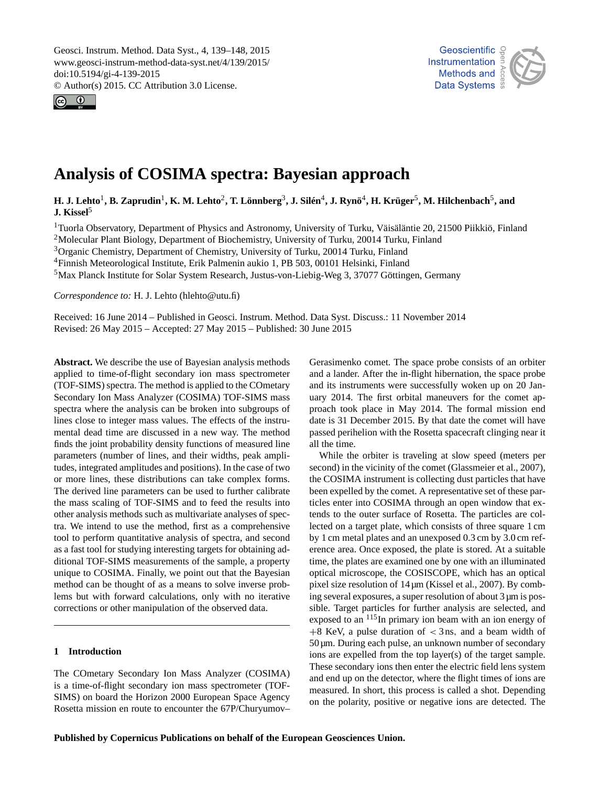<span id="page-0-1"></span>Geosci. Instrum. Method. Data Syst., 4, 139–148, 2015 www.geosci-instrum-method-data-syst.net/4/139/2015/ doi:10.5194/gi-4-139-2015 © Author(s) 2015. CC Attribution 3.0 License.





# **Analysis of COSIMA spectra: Bayesian approach**

 $H$ . J. Lehto<sup>[1](#page-0-0)</sup>, B. Zaprudin<sup>1</sup>, K. M. Lehto<sup>[2](#page-0-0)</sup>, T. Lönnberg<sup>[3](#page-0-0)</sup>, J. Silén<sup>[4](#page-0-0)</sup>, J. Rynö<sup>4</sup>, H. Krüger<sup>[5](#page-0-0)</sup>, M. Hilchenbach<sup>5</sup>, and **J. Kissel**[5](#page-0-0)

<sup>1</sup>Tuorla Observatory, Department of Physics and Astronomy, University of Turku, Väisäläntie 20, 21500 Piikkiö, Finland <sup>2</sup>Molecular Plant Biology, Department of Biochemistry, University of Turku, 20014 Turku, Finland <sup>3</sup>Organic Chemistry, Department of Chemistry, University of Turku, 20014 Turku, Finland <sup>4</sup>Finnish Meteorological Institute, Erik Palmenin aukio 1, PB 503, 00101 Helsinki, Finland <sup>5</sup>Max Planck Institute for Solar System Research, Justus-von-Liebig-Weg 3, 37077 Göttingen, Germany

*Correspondence to:* H. J. Lehto (hlehto@utu.fi)

Received: 16 June 2014 – Published in Geosci. Instrum. Method. Data Syst. Discuss.: 11 November 2014 Revised: 26 May 2015 – Accepted: 27 May 2015 – Published: 30 June 2015

<span id="page-0-0"></span>**Abstract.** We describe the use of Bayesian analysis methods applied to time-of-flight secondary ion mass spectrometer (TOF-SIMS) spectra. The method is applied to the COmetary Secondary Ion Mass Analyzer (COSIMA) TOF-SIMS mass spectra where the analysis can be broken into subgroups of lines close to integer mass values. The effects of the instrumental dead time are discussed in a new way. The method finds the joint probability density functions of measured line parameters (number of lines, and their widths, peak amplitudes, integrated amplitudes and positions). In the case of two or more lines, these distributions can take complex forms. The derived line parameters can be used to further calibrate the mass scaling of TOF-SIMS and to feed the results into other analysis methods such as multivariate analyses of spectra. We intend to use the method, first as a comprehensive tool to perform quantitative analysis of spectra, and second as a fast tool for studying interesting targets for obtaining additional TOF-SIMS measurements of the sample, a property unique to COSIMA. Finally, we point out that the Bayesian method can be thought of as a means to solve inverse problems but with forward calculations, only with no iterative corrections or other manipulation of the observed data.

# **1 Introduction**

The COmetary Secondary Ion Mass Analyzer (COSIMA) is a time-of-flight secondary ion mass spectrometer (TOF-SIMS) on board the Horizon 2000 European Space Agency Rosetta mission en route to encounter the 67P/Churyumov– Gerasimenko comet. The space probe consists of an orbiter and a lander. After the in-flight hibernation, the space probe and its instruments were successfully woken up on 20 January 2014. The first orbital maneuvers for the comet approach took place in May 2014. The formal mission end date is 31 December 2015. By that date the comet will have passed perihelion with the Rosetta spacecraft clinging near it all the time.

While the orbiter is traveling at slow speed (meters per second) in the vicinity of the comet [\(Glassmeier et al.,](#page-9-0) [2007\)](#page-9-0), the COSIMA instrument is collecting dust particles that have been expelled by the comet. A representative set of these particles enter into COSIMA through an open window that extends to the outer surface of Rosetta. The particles are collected on a target plate, which consists of three square 1 cm by 1 cm metal plates and an unexposed 0.3 cm by 3.0 cm reference area. Once exposed, the plate is stored. At a suitable time, the plates are examined one by one with an illuminated optical microscope, the COSISCOPE, which has an optical pixel size resolution of 14 µm [\(Kissel et al.,](#page-9-1) [2007\)](#page-9-1). By combing several exposures, a super resolution of about 3 µm is possible. Target particles for further analysis are selected, and exposed to an  $115$ In primary ion beam with an ion energy of  $+8$  KeV, a pulse duration of  $<$  3 ns, and a beam width of  $50 \mu m$ . During each pulse, an unknown number of secondary ions are expelled from the top layer(s) of the target sample. These secondary ions then enter the electric field lens system and end up on the detector, where the flight times of ions are measured. In short, this process is called a shot. Depending on the polarity, positive or negative ions are detected. The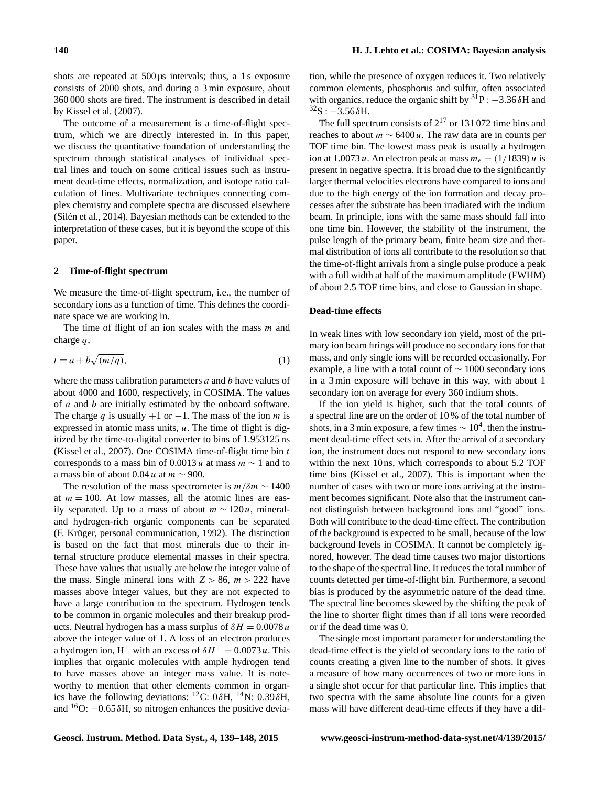shots are repeated at 500 µs intervals; thus, a 1 s exposure consists of 2000 shots, and during a 3 min exposure, about 360 000 shots are fired. The instrument is described in detail

The outcome of a measurement is a time-of-flight spectrum, which we are directly interested in. In this paper, we discuss the quantitative foundation of understanding the spectrum through statistical analyses of individual spectral lines and touch on some critical issues such as instrument dead-time effects, normalization, and isotope ratio calculation of lines. Multivariate techniques connecting complex chemistry and complete spectra are discussed elsewhere [\(Silén et al.,](#page-9-2) [2014\)](#page-9-2). Bayesian methods can be extended to the interpretation of these cases, but it is beyond the scope of this paper.

## **2 Time-of-flight spectrum**

by [Kissel et al.](#page-9-1) [\(2007\)](#page-9-1).

We measure the time-of-flight spectrum, i.e., the number of secondary ions as a function of time. This defines the coordinate space we are working in.

The time of flight of an ion scales with the mass  $m$  and charge  $q$ ,

$$
t = a + b\sqrt{(m/q)},\tag{1}
$$

where the mass calibration parameters  $a$  and  $b$  have values of about 4000 and 1600, respectively, in COSIMA. The values of a and b are initially estimated by the onboard software. The charge q is usually  $+1$  or  $-1$ . The mass of the ion m is expressed in atomic mass units,  $u$ . The time of flight is digitized by the time-to-digital converter to bins of 1.953125 ns [\(Kissel et al.,](#page-9-1) [2007\)](#page-9-1). One COSIMA time-of-flight time bin t corresponds to a mass bin of 0.0013 u at mass  $m \sim 1$  and to a mass bin of about 0.04 *u* at  $m \sim 900$ .

The resolution of the mass spectrometer is  $m/\delta m \sim 1400$ at  $m = 100$ . At low masses, all the atomic lines are easily separated. Up to a mass of about  $m \sim 120u$ , mineraland hydrogen-rich organic components can be separated (F. Krüger, personal communication, 1992). The distinction is based on the fact that most minerals due to their internal structure produce elemental masses in their spectra. These have values that usually are below the integer value of the mass. Single mineral ions with  $Z > 86$ ,  $m > 222$  have masses above integer values, but they are not expected to have a large contribution to the spectrum. Hydrogen tends to be common in organic molecules and their breakup products. Neutral hydrogen has a mass surplus of  $\delta H = 0.0078 u$ above the integer value of 1. A loss of an electron produces a hydrogen ion, H<sup>+</sup> with an excess of  $\delta H^+ = 0.0073 u$ . This implies that organic molecules with ample hydrogen tend to have masses above an integer mass value. It is noteworthy to mention that other elements common in organics have the following deviations:  ${}^{12}$ C: 0 $\delta$ H,  ${}^{14}$ N: 0.39 $\delta$ H, and  ${}^{16}O: -0.65 \delta H$ , so nitrogen enhances the positive deviation, while the presence of oxygen reduces it. Two relatively common elements, phosphorus and sulfur, often associated with organics, reduce the organic shift by  $^{31}P$  :  $-3.36 \delta H$  and  $32S: -3.56 \delta H$ .

The full spectrum consists of  $2^{17}$  or 131 072 time bins and reaches to about  $m \sim 6400u$ . The raw data are in counts per TOF time bin. The lowest mass peak is usually a hydrogen ion at 1.0073 u. An electron peak at mass  $m_e = (1/1839) u$  is present in negative spectra. It is broad due to the significantly larger thermal velocities electrons have compared to ions and due to the high energy of the ion formation and decay processes after the substrate has been irradiated with the indium beam. In principle, ions with the same mass should fall into one time bin. However, the stability of the instrument, the pulse length of the primary beam, finite beam size and thermal distribution of ions all contribute to the resolution so that the time-of-flight arrivals from a single pulse produce a peak with a full width at half of the maximum amplitude (FWHM) of about 2.5 TOF time bins, and close to Gaussian in shape.

## **Dead-time effects**

In weak lines with low secondary ion yield, most of the primary ion beam firings will produce no secondary ions for that mass, and only single ions will be recorded occasionally. For example, a line with a total count of ∼ 1000 secondary ions in a 3 min exposure will behave in this way, with about 1 secondary ion on average for every 360 indium shots.

If the ion yield is higher, such that the total counts of a spectral line are on the order of 10 % of the total number of shots, in a 3 min exposure, a few times  $\sim 10^4$ , then the instrument dead-time effect sets in. After the arrival of a secondary ion, the instrument does not respond to new secondary ions within the next 10 ns, which corresponds to about 5.2 TOF time bins [\(Kissel et al.,](#page-9-1) [2007\)](#page-9-1). This is important when the number of cases with two or more ions arriving at the instrument becomes significant. Note also that the instrument cannot distinguish between background ions and "good" ions. Both will contribute to the dead-time effect. The contribution of the background is expected to be small, because of the low background levels in COSIMA. It cannot be completely ignored, however. The dead time causes two major distortions to the shape of the spectral line. It reduces the total number of counts detected per time-of-flight bin. Furthermore, a second bias is produced by the asymmetric nature of the dead time. The spectral line becomes skewed by the shifting the peak of the line to shorter flight times than if all ions were recorded or if the dead time was 0.

The single most important parameter for understanding the dead-time effect is the yield of secondary ions to the ratio of counts creating a given line to the number of shots. It gives a measure of how many occurrences of two or more ions in a single shot occur for that particular line. This implies that two spectra with the same absolute line counts for a given mass will have different dead-time effects if they have a dif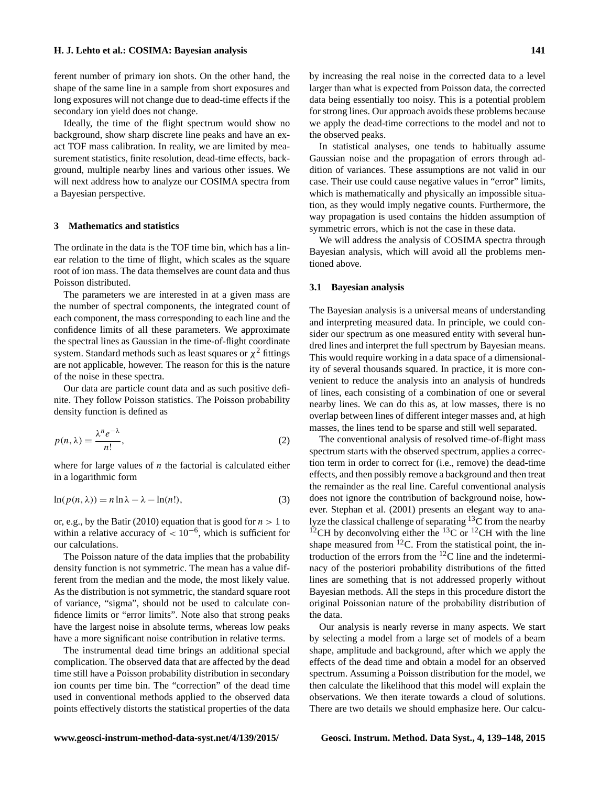ferent number of primary ion shots. On the other hand, the shape of the same line in a sample from short exposures and long exposures will not change due to dead-time effects if the secondary ion yield does not change.

Ideally, the time of the flight spectrum would show no background, show sharp discrete line peaks and have an exact TOF mass calibration. In reality, we are limited by measurement statistics, finite resolution, dead-time effects, background, multiple nearby lines and various other issues. We will next address how to analyze our COSIMA spectra from a Bayesian perspective.

## **3 Mathematics and statistics**

The ordinate in the data is the TOF time bin, which has a linear relation to the time of flight, which scales as the square root of ion mass. The data themselves are count data and thus Poisson distributed.

The parameters we are interested in at a given mass are the number of spectral components, the integrated count of each component, the mass corresponding to each line and the confidence limits of all these parameters. We approximate the spectral lines as Gaussian in the time-of-flight coordinate system. Standard methods such as least squares or  $\chi^2$  fittings are not applicable, however. The reason for this is the nature of the noise in these spectra.

Our data are particle count data and as such positive definite. They follow Poisson statistics. The Poisson probability density function is defined as

$$
p(n,\lambda) = \frac{\lambda^n e^{-\lambda}}{n!},
$$
\n(2)

where for large values of  $n$  the factorial is calculated either in a logarithmic form

$$
\ln(p(n,\lambda)) = n \ln \lambda - \lambda - \ln(n!), \tag{3}
$$

or, e.g., by the Batir (2010) equation that is good for  $n > 1$  to within a relative accuracy of  $< 10^{-6}$ , which is sufficient for our calculations.

The Poisson nature of the data implies that the probability density function is not symmetric. The mean has a value different from the median and the mode, the most likely value. As the distribution is not symmetric, the standard square root of variance, "sigma", should not be used to calculate confidence limits or "error limits". Note also that strong peaks have the largest noise in absolute terms, whereas low peaks have a more significant noise contribution in relative terms.

The instrumental dead time brings an additional special complication. The observed data that are affected by the dead time still have a Poisson probability distribution in secondary ion counts per time bin. The "correction" of the dead time used in conventional methods applied to the observed data points effectively distorts the statistical properties of the data by increasing the real noise in the corrected data to a level larger than what is expected from Poisson data, the corrected data being essentially too noisy. This is a potential problem for strong lines. Our approach avoids these problems because we apply the dead-time corrections to the model and not to the observed peaks.

In statistical analyses, one tends to habitually assume Gaussian noise and the propagation of errors through addition of variances. These assumptions are not valid in our case. Their use could cause negative values in "error" limits, which is mathematically and physically an impossible situation, as they would imply negative counts. Furthermore, the way propagation is used contains the hidden assumption of symmetric errors, which is not the case in these data.

We will address the analysis of COSIMA spectra through Bayesian analysis, which will avoid all the problems mentioned above.

#### **3.1 Bayesian analysis**

The Bayesian analysis is a universal means of understanding and interpreting measured data. In principle, we could consider our spectrum as one measured entity with several hundred lines and interpret the full spectrum by Bayesian means. This would require working in a data space of a dimensionality of several thousands squared. In practice, it is more convenient to reduce the analysis into an analysis of hundreds of lines, each consisting of a combination of one or several nearby lines. We can do this as, at low masses, there is no overlap between lines of different integer masses and, at high masses, the lines tend to be sparse and still well separated.

The conventional analysis of resolved time-of-flight mass spectrum starts with the observed spectrum, applies a correction term in order to correct for (i.e., remove) the dead-time effects, and then possibly remove a background and then treat the remainder as the real line. Careful conventional analysis does not ignore the contribution of background noise, however. [Stephan et al.](#page-9-3) [\(2001\)](#page-9-3) presents an elegant way to analyze the classical challenge of separating <sup>13</sup>C from the nearby <sup>12</sup>CH by deconvolving either the <sup>13</sup>C or <sup>12</sup>CH with the line shape measured from  ${}^{12}C$ . From the statistical point, the introduction of the errors from the  $^{12}$ C line and the indeterminacy of the posteriori probability distributions of the fitted lines are something that is not addressed properly without Bayesian methods. All the steps in this procedure distort the original Poissonian nature of the probability distribution of the data.

Our analysis is nearly reverse in many aspects. We start by selecting a model from a large set of models of a beam shape, amplitude and background, after which we apply the effects of the dead time and obtain a model for an observed spectrum. Assuming a Poisson distribution for the model, we then calculate the likelihood that this model will explain the observations. We then iterate towards a cloud of solutions. There are two details we should emphasize here. Our calcu-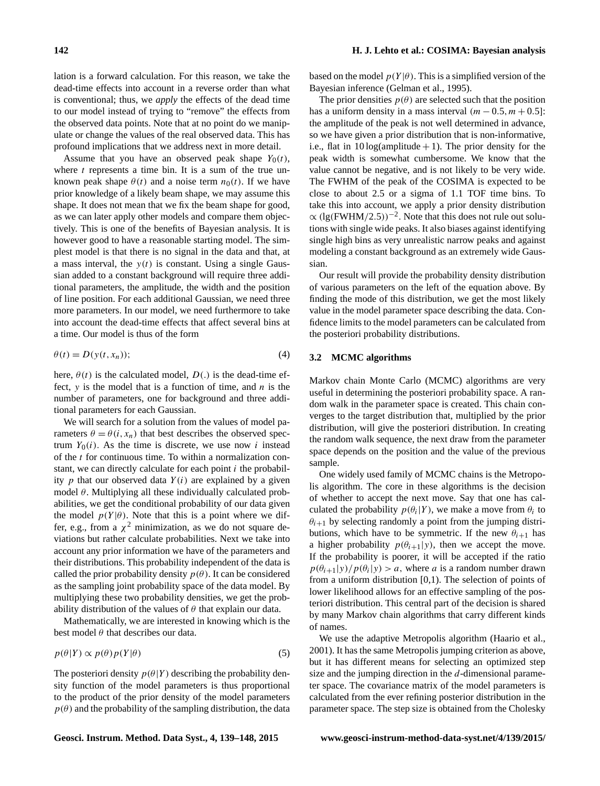Assume that you have an observed peak shape  $Y_0(t)$ , where  $t$  represents a time bin. It is a sum of the true unknown peak shape  $\theta(t)$  and a noise term  $n_0(t)$ . If we have prior knowledge of a likely beam shape, we may assume this shape. It does not mean that we fix the beam shape for good, as we can later apply other models and compare them objectively. This is one of the benefits of Bayesian analysis. It is however good to have a reasonable starting model. The simplest model is that there is no signal in the data and that, at a mass interval, the  $y(t)$  is constant. Using a single Gaussian added to a constant background will require three additional parameters, the amplitude, the width and the position of line position. For each additional Gaussian, we need three more parameters. In our model, we need furthermore to take into account the dead-time effects that affect several bins at a time. Our model is thus of the form

$$
\theta(t) = D(y(t, x_n));\tag{4}
$$

here,  $\theta(t)$  is the calculated model,  $D(.)$  is the dead-time effect,  $y$  is the model that is a function of time, and  $n$  is the number of parameters, one for background and three additional parameters for each Gaussian.

We will search for a solution from the values of model parameters  $\theta = \theta(i, x_n)$  that best describes the observed spectrum  $Y_0(i)$ . As the time is discrete, we use now i instead of the t for continuous time. To within a normalization constant, we can directly calculate for each point  $i$  the probability  $p$  that our observed data  $Y(i)$  are explained by a given model  $\theta$ . Multiplying all these individually calculated probabilities, we get the conditional probability of our data given the model  $p(Y|\theta)$ . Note that this is a point where we differ, e.g., from a  $\chi^2$  minimization, as we do not square deviations but rather calculate probabilities. Next we take into account any prior information we have of the parameters and their distributions. This probability independent of the data is called the prior probability density  $p(\theta)$ . It can be considered as the sampling joint probability space of the data model. By multiplying these two probability densities, we get the probability distribution of the values of  $\theta$  that explain our data.

Mathematically, we are interested in knowing which is the best model  $\theta$  that describes our data.

$$
p(\theta|Y) \propto p(\theta)p(Y|\theta)
$$
\n(5)

The posteriori density  $p(\theta|Y)$  describing the probability density function of the model parameters is thus proportional to the product of the prior density of the model parameters  $p(\theta)$  and the probability of the sampling distribution, the data based on the model  $p(Y|\theta)$ . This is a simplified version of the Bayesian inference [\(Gelman et al.,](#page-9-4) [1995\)](#page-9-4).

The prior densities  $p(\theta)$  are selected such that the position has a uniform density in a mass interval  $(m - 0.5, m + 0.5]$ : the amplitude of the peak is not well determined in advance, so we have given a prior distribution that is non-informative, i.e., flat in  $10 \log(\text{amplitude} + 1)$ . The prior density for the peak width is somewhat cumbersome. We know that the value cannot be negative, and is not likely to be very wide. The FWHM of the peak of the COSIMA is expected to be close to about 2.5 or a sigma of 1.1 TOF time bins. To take this into account, we apply a prior density distribution  $\propto$  (lg(FWHM/2.5))<sup>-2</sup>. Note that this does not rule out solutions with single wide peaks. It also biases against identifying single high bins as very unrealistic narrow peaks and against modeling a constant background as an extremely wide Gaussian.

Our result will provide the probability density distribution of various parameters on the left of the equation above. By finding the mode of this distribution, we get the most likely value in the model parameter space describing the data. Confidence limits to the model parameters can be calculated from the posteriori probability distributions.

### **3.2 MCMC algorithms**

Markov chain Monte Carlo (MCMC) algorithms are very useful in determining the posteriori probability space. A random walk in the parameter space is created. This chain converges to the target distribution that, multiplied by the prior distribution, will give the posteriori distribution. In creating the random walk sequence, the next draw from the parameter space depends on the position and the value of the previous sample.

One widely used family of MCMC chains is the Metropolis algorithm. The core in these algorithms is the decision of whether to accept the next move. Say that one has calculated the probability  $p(\theta_i|Y)$ , we make a move from  $\theta_i$  to  $\theta_{i+1}$  by selecting randomly a point from the jumping distributions, which have to be symmetric. If the new  $\theta_{i+1}$  has a higher probability  $p(\theta_{i+1}|y)$ , then we accept the move. If the probability is poorer, it will be accepted if the ratio  $p(\theta_{i+1}|y)/p(\theta_i|y) > a$ , where a is a random number drawn from a uniform distribution [0,1). The selection of points of lower likelihood allows for an effective sampling of the posteriori distribution. This central part of the decision is shared by many Markov chain algorithms that carry different kinds of names.

We use the adaptive Metropolis algorithm [\(Haario et al.,](#page-9-5) [2001\)](#page-9-5). It has the same Metropolis jumping criterion as above, but it has different means for selecting an optimized step size and the jumping direction in the d-dimensional parameter space. The covariance matrix of the model parameters is calculated from the ever refining posterior distribution in the parameter space. The step size is obtained from the Cholesky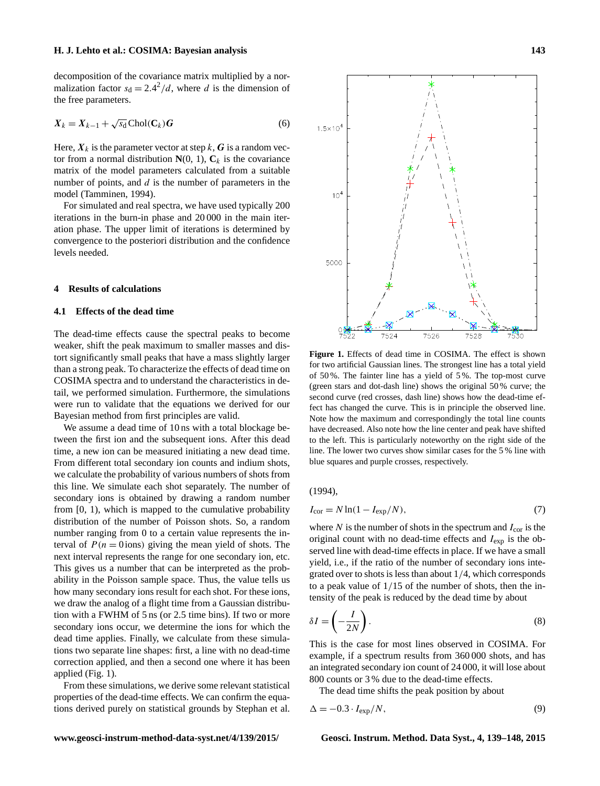decomposition of the covariance matrix multiplied by a normalization factor  $s_d = 2.4^2/d$ , where d is the dimension of the free parameters.

$$
X_k = X_{k-1} + \sqrt{s_d} \operatorname{Chol}(\mathbf{C}_k) \mathbf{G} \tag{6}
$$

Here,  $X_k$  is the parameter vector at step k, G is a random vector from a normal distribution  $N(0, 1)$ ,  $C_k$  is the covariance matrix of the model parameters calculated from a suitable number of points, and  $d$  is the number of parameters in the model [\(Tamminen,](#page-9-6) [1994\)](#page-9-6).

For simulated and real spectra, we have used typically 200 iterations in the burn-in phase and 20 000 in the main iteration phase. The upper limit of iterations is determined by convergence to the posteriori distribution and the confidence levels needed.

### **4 Results of calculations**

# **4.1 Effects of the dead time**

The dead-time effects cause the spectral peaks to become weaker, shift the peak maximum to smaller masses and distort significantly small peaks that have a mass slightly larger than a strong peak. To characterize the effects of dead time on COSIMA spectra and to understand the characteristics in detail, we performed simulation. Furthermore, the simulations were run to validate that the equations we derived for our Bayesian method from first principles are valid.

We assume a dead time of 10 ns with a total blockage between the first ion and the subsequent ions. After this dead time, a new ion can be measured initiating a new dead time. From different total secondary ion counts and indium shots, we calculate the probability of various numbers of shots from this line. We simulate each shot separately. The number of secondary ions is obtained by drawing a random number from [0, 1), which is mapped to the cumulative probability distribution of the number of Poisson shots. So, a random number ranging from 0 to a certain value represents the interval of  $P(n = 0)$  ions) giving the mean yield of shots. The next interval represents the range for one secondary ion, etc. This gives us a number that can be interpreted as the probability in the Poisson sample space. Thus, the value tells us how many secondary ions result for each shot. For these ions, we draw the analog of a flight time from a Gaussian distribution with a FWHM of 5 ns (or 2.5 time bins). If two or more secondary ions occur, we determine the ions for which the dead time applies. Finally, we calculate from these simulations two separate line shapes: first, a line with no dead-time correction applied, and then a second one where it has been applied (Fig. 1).

From these simulations, we derive some relevant statistical properties of the dead-time effects. We can confirm the equations derived purely on statistical grounds by [Stephan et al.](#page-9-7)



**Figure 1.** Effects of dead time in COSIMA. The effect is shown for two artificial Gaussian lines. The strongest line has a total yield of 50 %. The fainter line has a yield of 5 %. The top-most curve (green stars and dot-dash line) shows the original 50 % curve; the second curve (red crosses, dash line) shows how the dead-time effect has changed the curve. This is in principle the observed line. Note how the maximum and correspondingly the total line counts have decreased. Also note how the line center and peak have shifted to the left. This is particularly noteworthy on the right side of the line. The lower two curves show similar cases for the 5 % line with blue squares and purple crosses, respectively.

[\(1994\)](#page-9-7),

$$
I_{\rm cor} = N \ln(1 - I_{\rm exp}/N),\tag{7}
$$

where  $N$  is the number of shots in the spectrum and  $I_{\rm cor}$  is the original count with no dead-time effects and  $I_{\rm exp}$  is the observed line with dead-time effects in place. If we have a small yield, i.e., if the ratio of the number of secondary ions integrated over to shots is less than about 1/4, which corresponds to a peak value of  $1/15$  of the number of shots, then the intensity of the peak is reduced by the dead time by about

$$
\delta I = \left(-\frac{I}{2N}\right). \tag{8}
$$

This is the case for most lines observed in COSIMA. For example, if a spectrum results from 360 000 shots, and has an integrated secondary ion count of 24 000, it will lose about 800 counts or 3 % due to the dead-time effects.

The dead time shifts the peak position by about

$$
\Delta = -0.3 \cdot I_{\exp}/N,\tag{9}
$$

**www.geosci-instrum-method-data-syst.net/4/139/2015/ Geosci. Instrum. Method. Data Syst., 4, 139[–148,](#page-0-1) 2015**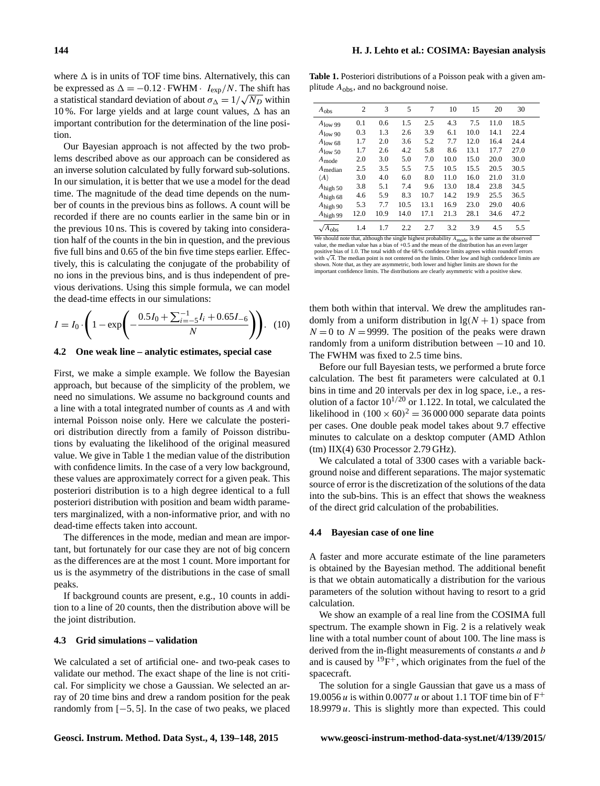where  $\Delta$  is in units of TOF time bins. Alternatively, this can be expressed as  $\Delta = -0.12 \cdot \text{FWHM} \cdot I_{\text{exp}}/N$ . The shift has a statistical standard deviation of about  $\sigma_{\Delta} = 1/\sqrt{N_D}$  within 10%. For large yields and at large count values,  $\Delta$  has an important contribution for the determination of the line position.

Our Bayesian approach is not affected by the two problems described above as our approach can be considered as an inverse solution calculated by fully forward sub-solutions. In our simulation, it is better that we use a model for the dead time. The magnitude of the dead time depends on the number of counts in the previous bins as follows. A count will be recorded if there are no counts earlier in the same bin or in the previous 10 ns. This is covered by taking into consideration half of the counts in the bin in question, and the previous five full bins and 0.65 of the bin five time steps earlier. Effectively, this is calculating the conjugate of the probability of no ions in the previous bins, and is thus independent of previous derivations. Using this simple formula, we can model the dead-time effects in our simulations:

$$
I = I_0 \cdot \left( 1 - \exp\left( -\frac{0.5I_0 + \sum_{i=-5}^{-1} I_i + 0.65I_{-6}}{N} \right) \right). \tag{10}
$$

# **4.2 One weak line – analytic estimates, special case**

First, we make a simple example. We follow the Bayesian approach, but because of the simplicity of the problem, we need no simulations. We assume no background counts and a line with a total integrated number of counts as A and with internal Poisson noise only. Here we calculate the posteriori distribution directly from a family of Poisson distributions by evaluating the likelihood of the original measured value. We give in Table 1 the median value of the distribution with confidence limits. In the case of a very low background, these values are approximately correct for a given peak. This posteriori distribution is to a high degree identical to a full posteriori distribution with position and beam width parameters marginalized, with a non-informative prior, and with no dead-time effects taken into account.

The differences in the mode, median and mean are important, but fortunately for our case they are not of big concern as the differences are at the most 1 count. More important for us is the asymmetry of the distributions in the case of small peaks.

If background counts are present, e.g., 10 counts in addition to a line of 20 counts, then the distribution above will be the joint distribution.

## **4.3 Grid simulations – validation**

We calculated a set of artificial one- and two-peak cases to validate our method. The exact shape of the line is not critical. For simplicity we chose a Gaussian. We selected an array of 20 time bins and drew a random position for the peak randomly from  $[-5, 5]$ . In the case of two peaks, we placed

**Table 1.** Posteriori distributions of a Poisson peak with a given amplitude Aobs, and no background noise.

| $A_{\rm obs}$        | $\overline{2}$ | 3    | 5    | 7    | 10   | 15   | 20   | 30   |  |
|----------------------|----------------|------|------|------|------|------|------|------|--|
| $A_{\text{low}}$ 99  | 0.1            | 0.6  | 1.5  | 2.5  | 4.3  | 7.5  | 11.0 | 18.5 |  |
| $A_{\text{low}}$ 90  | 0.3            | 1.3  | 2.6  | 3.9  | 6.1  | 10.0 | 14.1 | 22.4 |  |
| $A_{\text{low }68}$  | 1.7            | 2.0  | 3.6  | 5.2  | 7.7  | 12.0 | 16.4 | 24.4 |  |
| $A_{\text{low }50}$  | 1.7            | 2.6  | 4.2  | 5.8  | 8.6  | 13.1 | 17.7 | 27.0 |  |
| $A_{\text{mode}}$    | 2.0            | 3.0  | 5.0  | 7.0  | 10.0 | 15.0 | 20.0 | 30.0 |  |
| $A_{\text{median}}$  | 2.5            | 3.5  | 5.5  | 7.5  | 10.5 | 15.5 | 20.5 | 30.5 |  |
| $\langle A \rangle$  | 3.0            | 4.0  | 6.0  | 8.0  | 11.0 | 16.0 | 21.0 | 31.0 |  |
| $A_{\text{high }50}$ | 3.8            | 5.1  | 7.4  | 9.6  | 13.0 | 18.4 | 23.8 | 34.5 |  |
| $A_{\text{high }68}$ | 4.6            | 5.9  | 8.3  | 10.7 | 14.2 | 19.9 | 25.5 | 36.5 |  |
| $A_{\text{high }90}$ | 5.3            | 7.7  | 10.5 | 13.1 | 16.9 | 23.0 | 29.0 | 40.6 |  |
| $A_{\text{high}}$ 99 | 12.0           | 10.9 | 14.0 | 17.1 | 21.3 | 28.1 | 34.6 | 47.2 |  |
| obs                  | 1.4            | 1.7  | 2.2  | 2.7  | 3.2  | 3.9  | 4.5  | 5.5  |  |

We should note that, although the single highest probability  $A_{\text{mode}}$  is the same as the observed value, the median value has a bias of  $+0.5$  and the mean of the distribution has an even larger positive bias of 1.0. The total width of the 68 % confidence limits agrees within roundoff errors positive bias of 1.0. The total width of the 68 % confidence limits agrees within roundoff errors with  $\sqrt{A}$ . The median point is not centered on the limits. Other low and high confidence limits are shown. Note that, as they are asymmetric, both lower and higher limits are shown for the important confidence limits. The distributions are clearly asymmetric with a positive skew.

them both within that interval. We drew the amplitudes randomly from a uniform distribution in  $\lg(N + 1)$  space from  $N = 0$  to  $N = 9999$ . The position of the peaks were drawn randomly from a uniform distribution between −10 and 10. The FWHM was fixed to 2.5 time bins.

Before our full Bayesian tests, we performed a brute force calculation. The best fit parameters were calculated at 0.1 bins in time and 20 intervals per dex in log space, i.e., a resolution of a factor  $10^{1/20}$  or 1.122. In total, we calculated the likelihood in  $(100 \times 60)^2 = 36000000$  separate data points per cases. One double peak model takes about 9.7 effective minutes to calculate on a desktop computer (AMD Athlon (tm) IIX(4) 630 Processor 2.79 GHz).

We calculated a total of 3300 cases with a variable background noise and different separations. The major systematic source of error is the discretization of the solutions of the data into the sub-bins. This is an effect that shows the weakness of the direct grid calculation of the probabilities.

#### **4.4 Bayesian case of one line**

A faster and more accurate estimate of the line parameters is obtained by the Bayesian method. The additional benefit is that we obtain automatically a distribution for the various parameters of the solution without having to resort to a grid calculation.

We show an example of a real line from the COSIMA full spectrum. The example shown in Fig. 2 is a relatively weak line with a total number count of about 100. The line mass is derived from the in-flight measurements of constants  $a$  and  $b$ and is caused by  ${}^{19}F^+$ , which originates from the fuel of the spacecraft.

The solution for a single Gaussian that gave us a mass of 19.0056 u is within 0.0077 u or about 1.1 TOF time bin of  $F^+$ 18.9979 $u$ . This is slightly more than expected. This could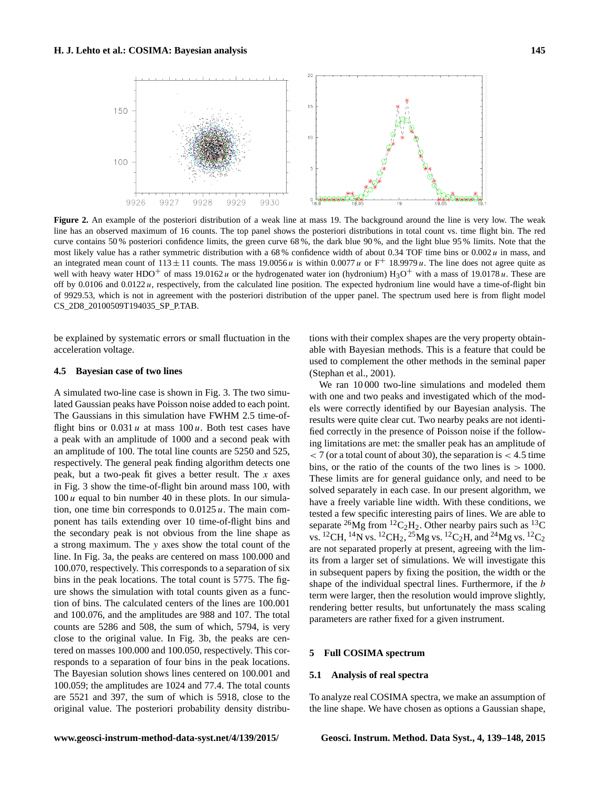

**Figure 2.** An example of the posteriori distribution of a weak line at mass 19. The background around the line is very low. The weak line has an observed maximum of 16 counts. The top panel shows the posteriori distributions in total count vs. time flight bin. The red curve contains 50 % posteriori confidence limits, the green curve 68 %, the dark blue 90 %, and the light blue 95 % limits. Note that the most likely value has a rather symmetric distribution with a 68 % confidence width of about 0.34 TOF time bins or 0.002 u in mass, and an integrated mean count of  $113 \pm 11$  counts. The mass  $19.0056 u$  is within  $0.0077 u$  or F<sup>+</sup> 18.9979 u. The line does not agree quite as well with heavy water HDO<sup>+</sup> of mass 19.0162 u or the hydrogenated water ion (hydronium)  $H_3O^+$  with a mass of 19.0178 u. These are off by 0.0106 and 0.0122 $u$ , respectively, from the calculated line position. The expected hydronium line would have a time-of-flight bin of 9929.53, which is not in agreement with the posteriori distribution of the upper panel. The spectrum used here is from flight model CS\_2D8\_20100509T194035\_SP\_P.TAB.

be explained by systematic errors or small fluctuation in the acceleration voltage.

## **4.5 Bayesian case of two lines**

A simulated two-line case is shown in Fig. 3. The two simulated Gaussian peaks have Poisson noise added to each point. The Gaussians in this simulation have FWHM 2.5 time-offlight bins or  $0.031 u$  at mass  $100 u$ . Both test cases have a peak with an amplitude of 1000 and a second peak with an amplitude of 100. The total line counts are 5250 and 525, respectively. The general peak finding algorithm detects one peak, but a two-peak fit gives a better result. The  $x$  axes in Fig. 3 show the time-of-flight bin around mass 100, with  $100 u$  equal to bin number 40 in these plots. In our simulation, one time bin corresponds to  $0.0125 u$ . The main component has tails extending over 10 time-of-flight bins and the secondary peak is not obvious from the line shape as a strong maximum. The y axes show the total count of the line. In Fig. 3a, the peaks are centered on mass 100.000 and 100.070, respectively. This corresponds to a separation of six bins in the peak locations. The total count is 5775. The figure shows the simulation with total counts given as a function of bins. The calculated centers of the lines are 100.001 and 100.076, and the amplitudes are 988 and 107. The total counts are 5286 and 508, the sum of which, 5794, is very close to the original value. In Fig. 3b, the peaks are centered on masses 100.000 and 100.050, respectively. This corresponds to a separation of four bins in the peak locations. The Bayesian solution shows lines centered on 100.001 and 100.059; the amplitudes are 1024 and 77.4. The total counts are 5521 and 397, the sum of which is 5918, close to the original value. The posteriori probability density distribu-

tions with their complex shapes are the very property obtainable with Bayesian methods. This is a feature that could be used to complement the other methods in the seminal paper [\(Stephan et al.,](#page-9-3) [2001\)](#page-9-3).

We ran 10 000 two-line simulations and modeled them with one and two peaks and investigated which of the models were correctly identified by our Bayesian analysis. The results were quite clear cut. Two nearby peaks are not identified correctly in the presence of Poisson noise if the following limitations are met: the smaller peak has an amplitude of  $<$  7 (or a total count of about 30), the separation is  $<$  4.5 time bins, or the ratio of the counts of the two lines is  $> 1000$ . These limits are for general guidance only, and need to be solved separately in each case. In our present algorithm, we have a freely variable line width. With these conditions, we tested a few specific interesting pairs of lines. We are able to separate <sup>26</sup>Mg from <sup>12</sup>C<sub>2</sub>H<sub>2</sub>. Other nearby pairs such as <sup>13</sup>C vs. <sup>12</sup>CH, <sup>14</sup>N vs. <sup>12</sup>CH<sub>2</sub>, <sup>25</sup>Mg vs. <sup>12</sup>C<sub>2</sub>H, and <sup>24</sup>Mg vs. <sup>12</sup>C<sub>2</sub> are not separated properly at present, agreeing with the limits from a larger set of simulations. We will investigate this in subsequent papers by fixing the position, the width or the shape of the individual spectral lines. Furthermore, if the *b* term were larger, then the resolution would improve slightly, rendering better results, but unfortunately the mass scaling parameters are rather fixed for a given instrument.

# **5 Full COSIMA spectrum**

#### **5.1 Analysis of real spectra**

To analyze real COSIMA spectra, we make an assumption of the line shape. We have chosen as options a Gaussian shape,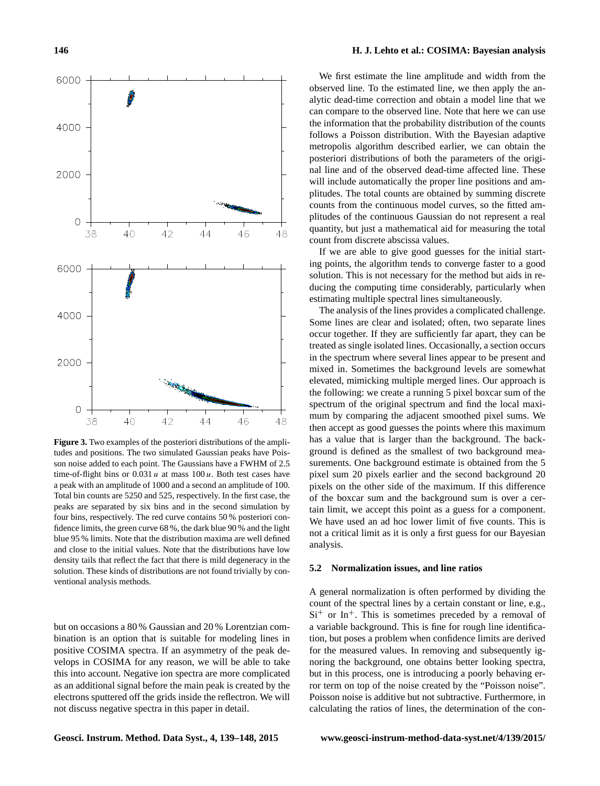

**Figure 3.** Two examples of the posteriori distributions of the amplitudes and positions. The two simulated Gaussian peaks have Poisson noise added to each point. The Gaussians have a FWHM of 2.5 time-of-flight bins or  $0.031 u$  at mass  $100 u$ . Both test cases have a peak with an amplitude of 1000 and a second an amplitude of 100. Total bin counts are 5250 and 525, respectively. In the first case, the peaks are separated by six bins and in the second simulation by four bins, respectively. The red curve contains 50 % posteriori confidence limits, the green curve 68 %, the dark blue 90 % and the light blue 95 % limits. Note that the distribution maxima are well defined and close to the initial values. Note that the distributions have low density tails that reflect the fact that there is mild degeneracy in the solution. These kinds of distributions are not found trivially by conventional analysis methods.

but on occasions a 80 % Gaussian and 20 % Lorentzian combination is an option that is suitable for modeling lines in positive COSIMA spectra. If an asymmetry of the peak develops in COSIMA for any reason, we will be able to take this into account. Negative ion spectra are more complicated as an additional signal before the main peak is created by the electrons sputtered off the grids inside the reflectron. We will not discuss negative spectra in this paper in detail.

We first estimate the line amplitude and width from the observed line. To the estimated line, we then apply the analytic dead-time correction and obtain a model line that we can compare to the observed line. Note that here we can use the information that the probability distribution of the counts follows a Poisson distribution. With the Bayesian adaptive metropolis algorithm described earlier, we can obtain the posteriori distributions of both the parameters of the original line and of the observed dead-time affected line. These will include automatically the proper line positions and amplitudes. The total counts are obtained by summing discrete counts from the continuous model curves, so the fitted amplitudes of the continuous Gaussian do not represent a real quantity, but just a mathematical aid for measuring the total count from discrete abscissa values.

If we are able to give good guesses for the initial starting points, the algorithm tends to converge faster to a good solution. This is not necessary for the method but aids in reducing the computing time considerably, particularly when estimating multiple spectral lines simultaneously.

The analysis of the lines provides a complicated challenge. Some lines are clear and isolated; often, two separate lines occur together. If they are sufficiently far apart, they can be treated as single isolated lines. Occasionally, a section occurs in the spectrum where several lines appear to be present and mixed in. Sometimes the background levels are somewhat elevated, mimicking multiple merged lines. Our approach is the following: we create a running 5 pixel boxcar sum of the spectrum of the original spectrum and find the local maximum by comparing the adjacent smoothed pixel sums. We then accept as good guesses the points where this maximum has a value that is larger than the background. The background is defined as the smallest of two background measurements. One background estimate is obtained from the 5 pixel sum 20 pixels earlier and the second background 20 pixels on the other side of the maximum. If this difference of the boxcar sum and the background sum is over a certain limit, we accept this point as a guess for a component. We have used an ad hoc lower limit of five counts. This is not a critical limit as it is only a first guess for our Bayesian analysis.

#### **5.2 Normalization issues, and line ratios**

A general normalization is often performed by dividing the count of the spectral lines by a certain constant or line, e.g.,  $Si<sup>+</sup>$  or In<sup>+</sup>. This is sometimes preceded by a removal of a variable background. This is fine for rough line identification, but poses a problem when confidence limits are derived for the measured values. In removing and subsequently ignoring the background, one obtains better looking spectra, but in this process, one is introducing a poorly behaving error term on top of the noise created by the "Poisson noise". Poisson noise is additive but not subtractive. Furthermore, in calculating the ratios of lines, the determination of the con-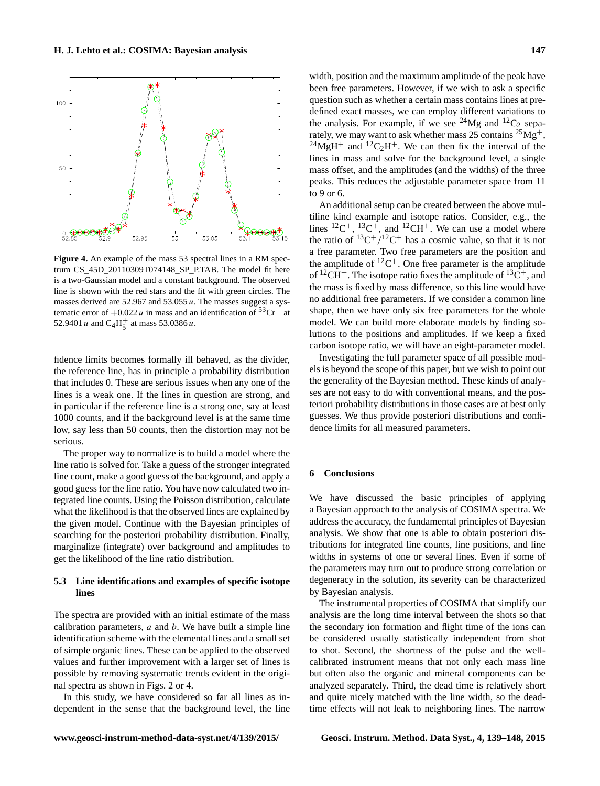

**Figure 4.** An example of the mass 53 spectral lines in a RM spectrum CS\_45D\_20110309T074148\_SP\_P.TAB. The model fit here is a two-Gaussian model and a constant background. The observed line is shown with the red stars and the fit with green circles. The masses derived are  $52.967$  and  $53.055 u$ . The masses suggest a systematic error of  $+0.022 u$  in mass and an identification of  $53Cr^{+}$  at 52.9401 *u* and  $C_4H_5^+$  $+$ <sub>5</sub> at mass 53.0386 *u*.

fidence limits becomes formally ill behaved, as the divider, the reference line, has in principle a probability distribution that includes 0. These are serious issues when any one of the lines is a weak one. If the lines in question are strong, and in particular if the reference line is a strong one, say at least 1000 counts, and if the background level is at the same time low, say less than 50 counts, then the distortion may not be serious.

The proper way to normalize is to build a model where the line ratio is solved for. Take a guess of the stronger integrated line count, make a good guess of the background, and apply a good guess for the line ratio. You have now calculated two integrated line counts. Using the Poisson distribution, calculate what the likelihood is that the observed lines are explained by the given model. Continue with the Bayesian principles of searching for the posteriori probability distribution. Finally, marginalize (integrate) over background and amplitudes to get the likelihood of the line ratio distribution.

# **5.3 Line identifications and examples of specific isotope lines**

The spectra are provided with an initial estimate of the mass calibration parameters,  $a$  and  $b$ . We have built a simple line identification scheme with the elemental lines and a small set of simple organic lines. These can be applied to the observed values and further improvement with a larger set of lines is possible by removing systematic trends evident in the original spectra as shown in Figs. 2 or 4.

In this study, we have considered so far all lines as independent in the sense that the background level, the line

width, position and the maximum amplitude of the peak have been free parameters. However, if we wish to ask a specific question such as whether a certain mass contains lines at predefined exact masses, we can employ different variations to the analysis. For example, if we see  $^{24}Mg$  and  $^{12}C_2$  separately, we may want to ask whether mass 25 contains  $^{25}Mg^{+}$ ,  $^{24}MgH^+$  and  $^{12}C_2H^+$ . We can then fix the interval of the lines in mass and solve for the background level, a single mass offset, and the amplitudes (and the widths) of the three peaks. This reduces the adjustable parameter space from 11 to 9 or 6.

An additional setup can be created between the above multiline kind example and isotope ratios. Consider, e.g., the lines  ${}^{12}C^+$ ,  ${}^{13}C^+$ , and  ${}^{12}CH^+$ . We can use a model where the ratio of  $13C^{+}/12C^{+}$  has a cosmic value, so that it is not a free parameter. Two free parameters are the position and the amplitude of  ${}^{12}C^+$ . One free parameter is the amplitude of <sup>12</sup>CH<sup>+</sup>. The isotope ratio fixes the amplitude of <sup>13</sup>C<sup>+</sup>, and the mass is fixed by mass difference, so this line would have no additional free parameters. If we consider a common line shape, then we have only six free parameters for the whole model. We can build more elaborate models by finding solutions to the positions and amplitudes. If we keep a fixed carbon isotope ratio, we will have an eight-parameter model.

Investigating the full parameter space of all possible models is beyond the scope of this paper, but we wish to point out the generality of the Bayesian method. These kinds of analyses are not easy to do with conventional means, and the posteriori probability distributions in those cases are at best only guesses. We thus provide posteriori distributions and confidence limits for all measured parameters.

#### **6 Conclusions**

We have discussed the basic principles of applying a Bayesian approach to the analysis of COSIMA spectra. We address the accuracy, the fundamental principles of Bayesian analysis. We show that one is able to obtain posteriori distributions for integrated line counts, line positions, and line widths in systems of one or several lines. Even if some of the parameters may turn out to produce strong correlation or degeneracy in the solution, its severity can be characterized by Bayesian analysis.

The instrumental properties of COSIMA that simplify our analysis are the long time interval between the shots so that the secondary ion formation and flight time of the ions can be considered usually statistically independent from shot to shot. Second, the shortness of the pulse and the wellcalibrated instrument means that not only each mass line but often also the organic and mineral components can be analyzed separately. Third, the dead time is relatively short and quite nicely matched with the line width, so the deadtime effects will not leak to neighboring lines. The narrow